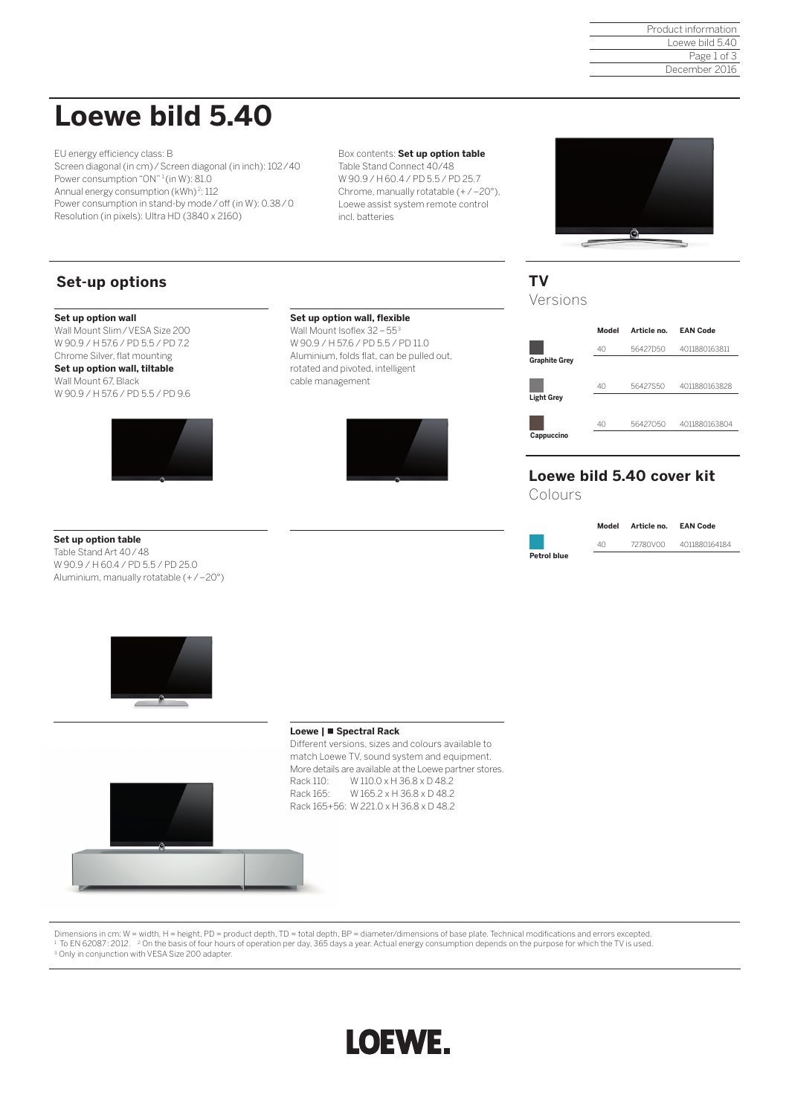Product information Loewe bild 5.40 Page 1 of 3 December 2016

## **Loewe bild 5.40**

EU energy efficiency class: B Screen diagonal (in cm)/Screen diagonal (in inch): 102/40 Power consumption "ON"<sup>1</sup> (in W): 81.0 Annual energy consumption (kWh)<sup>2</sup>: 112 Power consumption in stand-by mode/off (in W): 0.38/0 Resolution (in pixels): Ultra HD (3840 x 2160)

Box contents: **Set up option table**  Table Stand Connect 40/48 W 90.9 / H 60.4 / PD 5.5 / PD 25.7 Chrome, manually rotatable (+/-20°), Loewe assist system remote control incl. batteries



## **Set-up options**

#### **Set up option wall**

Wall Mount Slim / VESA Size 200 W 90.9 / H 57.6 / PD 5.5 / PD 7.2 Chrome Silver, flat mounting

**Set up option wall, tiltable**  Wall Mount 67, Black W 90.9 / H 57.6 / PD 5.5 / PD 9.6



#### **Set up option table**

Table Stand Art 40/48 W 90.9 / H 60.4 / PD 5.5 / PD 25.0 Aluminium, manually rotatable (+/–20°)



Wall Mount Isoflex 32-55 W 90.9 / H 57.6 / PD 5.5 / PD 11.0 Aluminium, folds flat, can be pulled out, rotated and pivoted, intelligent cable management



## **TV**

Versions

|                      | Model | Article no. | <b>EAN Code</b> |
|----------------------|-------|-------------|-----------------|
|                      | 40    | 56427D50    | 4011880163811   |
| <b>Graphite Grey</b> |       |             |                 |
| <b>Light Grey</b>    | 40    | 56427S50    | 4011880163828   |
|                      |       |             |                 |
| Cappuccino           | 40    | 56427050    | 4011880163804   |

## **Loewe bild 5.40 cover kit**

Colours

|                    | Model | Article no. | <b>EAN Code</b> |
|--------------------|-------|-------------|-----------------|
|                    | 40    | 72780V00    | 4011880164184   |
| <b>Petrol blue</b> |       |             |                 |



### **Loewe | Spectral Rack**

Different versions, sizes and colours available to match Loewe TV, sound system and equipment. More details are available at the Loewe partner stores. Rack 110: W 110.0 x H 36.8 x D 48.2 Rack 165: W 165.2 x H 36.8 x D 48.2 Rack 165+56: W 221.0 x H 36.8 x D 48.2



Dimensions in cm: W = width, H = height, PD = product depth, TD = total depth, BP = diameter/dimensions of base plate. Technical modifications and errors excepted. <sup>1</sup> To EN 62087:2012. <sup>2</sup> On the basis of four hours of operation per day, 365 days a year. Actual energy consumption depends on the purpose for which the TV is used.<br><sup>3</sup> Only in conjunction with VESA Size 200 adapter.

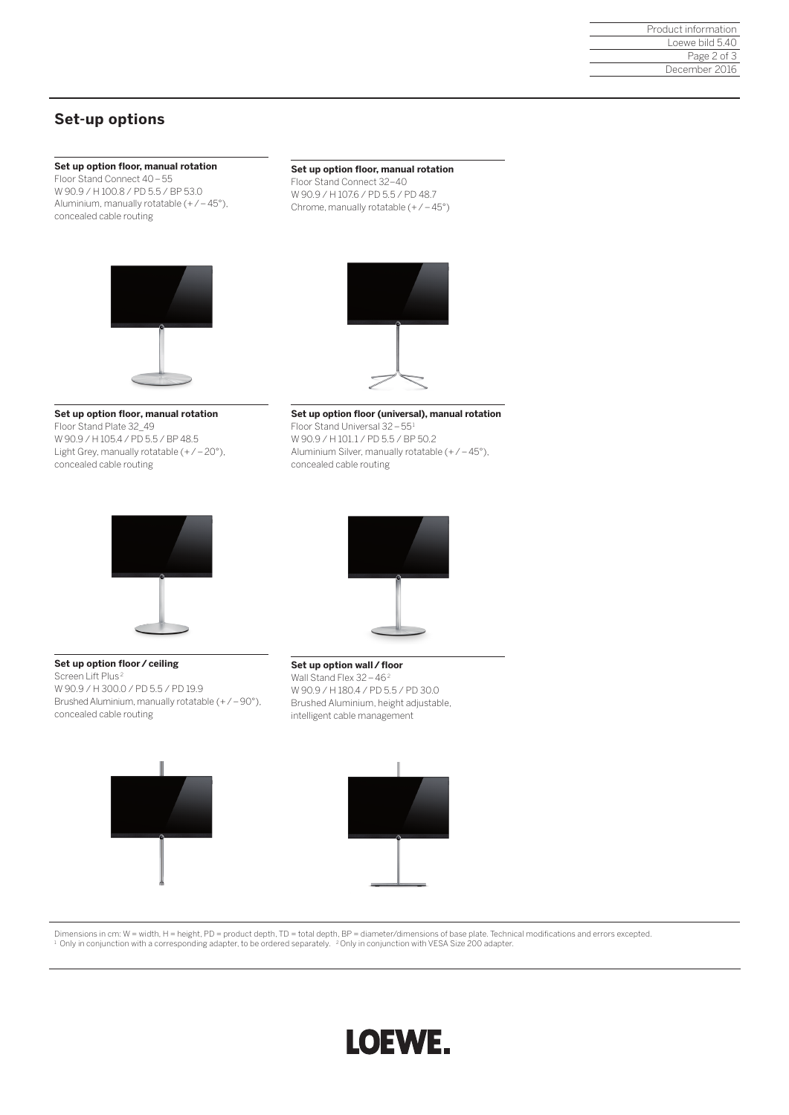## **Set-up options**

## **Set up option floor, manual rotation**

Floor Stand Connect 40–55 W 90.9 / H 100.8 / PD 5.5 / BP 53.0 Aluminium, manually rotatable (+/–45°), concealed cable routing

#### **Set up option floor, manual rotation**

Floor Stand Connect 32–40 W 90.9 / H 107.6 / PD 5.5 / PD 48.7 Chrome, manually rotatable  $(+/-45^{\circ})$ 





### **Set up option floor, manual rotation**

Floor Stand Plate 32\_49 W 90.9 / H 105.4 / PD 5.5 / BP 48.5 Light Grey, manually rotatable  $(+/-20^{\circ})$ , concealed cable routing

### **Set up option floor (universal), manual rotation**  Floor Stand Universal 32–551 W 90.9 / H 101.1 / PD 5.5 / BP 50.2 Aluminium Silver, manually rotatable (+/–45°), concealed cable routing



**Set up option floor/ceiling**

concealed cable routing

W 90.9 / H 300.0 / PD 5.5 / PD 19.9

Brushed Aluminium, manually rotatable (+/–90°),

Screen Lift Plus<sup>2</sup>



**Set up option wall/floor**  Wall Stand Flex 32–462 W 90.9 / H 180.4 / PD 5.5 / PD 30.0 Brushed Aluminium, height adjustable, intelligent cable management





Dimensions in cm: W = width, H = height, PD = product depth, TD = total depth, BP = diameter/dimensions of base plate. Technical modifications and errors excepted. <sup>1</sup> Only in conjunction with a corresponding adapter, to be ordered separately. <sup>2</sup> Only in conjunction with VESA Size 200 adapter.

# LOEWE.